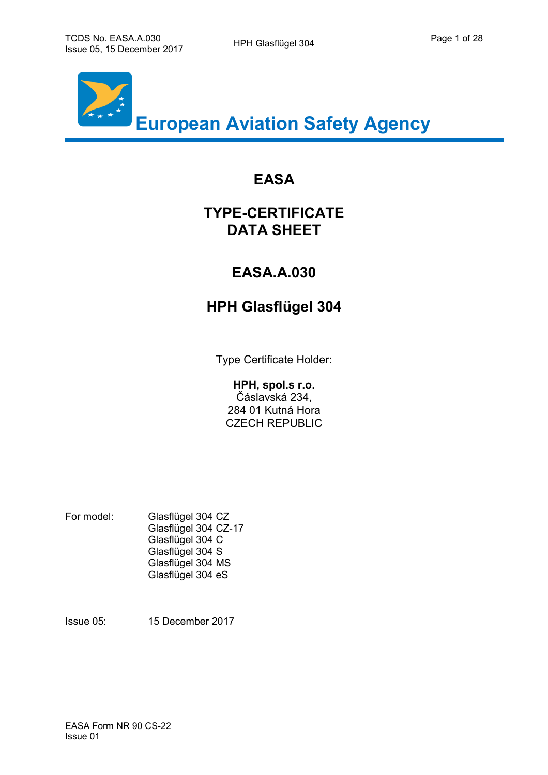

# **EASA**

# **TYPE-CERTIFICATE DATA SHEET**

# **EASA.A.030**

# **HPH Glasflügel 304**

Type Certificate Holder:

#### **HPH, spol.s r.o.**

Čáslavská 234, 284 01 Kutná Hora CZECH REPUBLIC

For model: Glasflügel 304 CZ Glasflügel 304 CZ-17 Glasflügel 304 C Glasflügel 304 S Glasflügel 304 MS Glasflügel 304 eS

Issue 05: 15 December 2017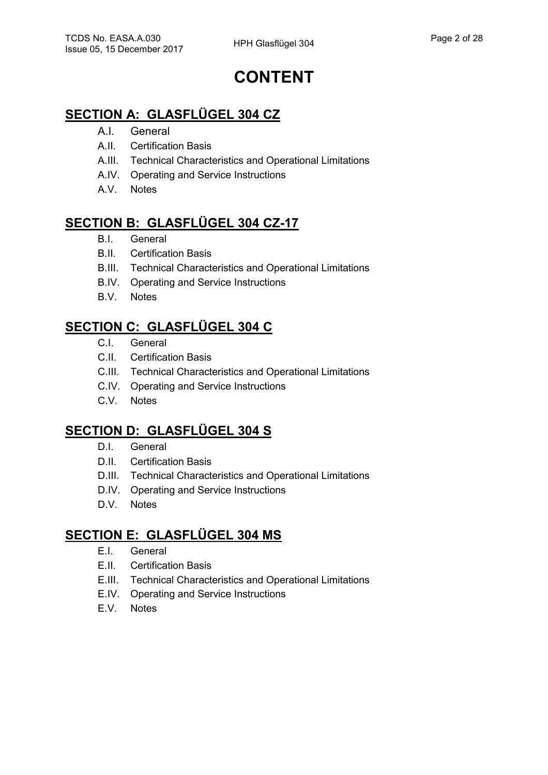# **CONTENT**

## **SECTION A: GLASFLÜGEL 304 CZ**

- A.I. General
- A.II. Certification Basis
- A.III. Technical Characteristics and Operational Limitations
- A.IV. Operating and Service Instructions
- A.V. Notes

## **SECTION B: GLASFLÜGEL 304 CZ-17**

- B.I. General
- B.II. Certification Basis
- B.III. Technical Characteristics and Operational Limitations
- B.IV. Operating and Service Instructions
- B.V. Notes

# **SECTION C: GLASFLÜGEL 304 C**

- C.I. General
- C.II. Certification Basis
- C.III. Technical Characteristics and Operational Limitations
- C.IV. Operating and Service Instructions
- C.V. Notes

## **SECTION D: GLASFLÜGEL 304 S**

- D.I. General
- D.II. Certification Basis
- D.III. Technical Characteristics and Operational Limitations
- D.IV. Operating and Service Instructions
- D.V. Notes

# **SECTION E: GLASFLÜGEL 304 MS**

- E.I. General
- E.II. Certification Basis
- E.III. Technical Characteristics and Operational Limitations
- E.IV. Operating and Service Instructions
- E.V. Notes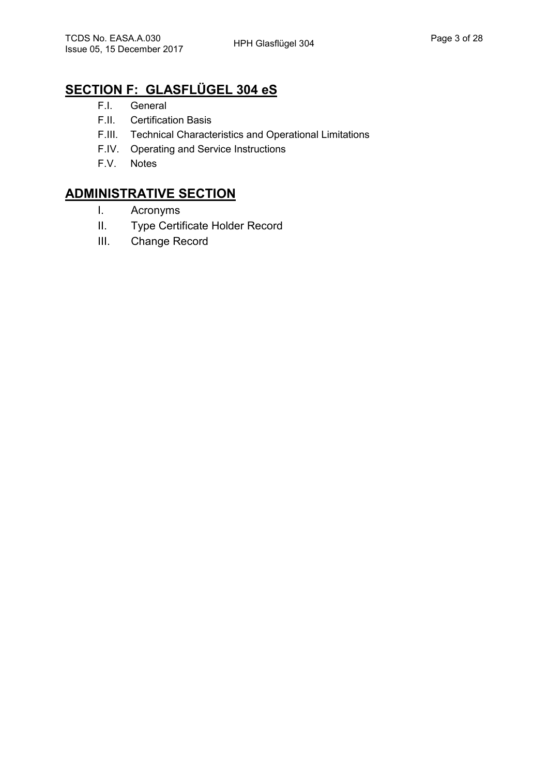# **SECTION F: GLASFLÜGEL 304 eS**

- F.I. General
- F.II. Certification Basis
- F.III. Technical Characteristics and Operational Limitations
- F.IV. Operating and Service Instructions
- F.V. Notes

## **ADMINISTRATIVE SECTION**

- I. Acronyms
- II. Type Certificate Holder Record
- III. Change Record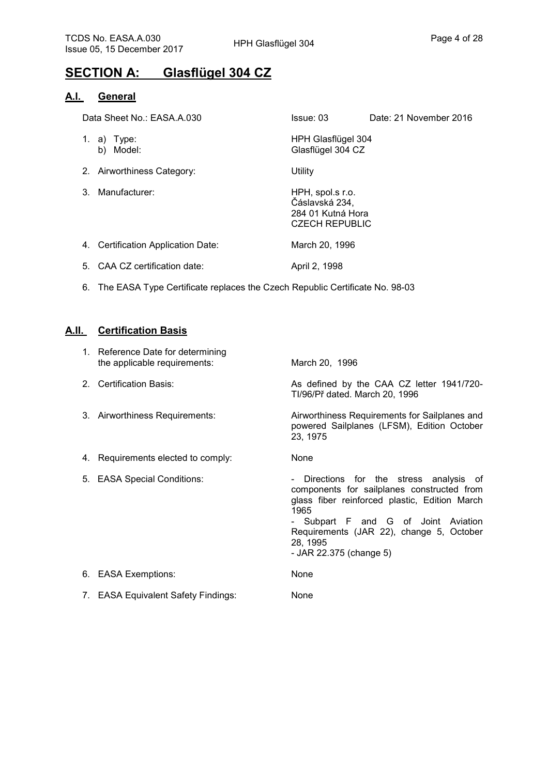# **SECTION A: Glasflügel 304 CZ**

#### **A.I. General**

|    | Data Sheet No.: EASA.A.030             | Issue: 03                                                                        | Date: 21 November 2016 |
|----|----------------------------------------|----------------------------------------------------------------------------------|------------------------|
| 1. | a) Type:<br>Model:<br>b)               | HPH Glasflügel 304<br>Glasflügel 304 CZ                                          |                        |
|    | 2. Airworthiness Category:             | Utility                                                                          |                        |
| 3  | Manufacturer:                          | HPH, spol.s r.o.<br>Čáslavská 234,<br>284 01 Kutná Hora<br><b>CZECH REPUBLIC</b> |                        |
| 4. | <b>Certification Application Date:</b> | March 20, 1996                                                                   |                        |

- 5. CAA CZ certification date: April 2, 1998
- 6. The EASA Type Certificate replaces the Czech Republic Certificate No. 98-03

#### **A.II. Certification Basis**

|    | 1. Reference Date for determining<br>the applicable requirements: | March 20, 1996                                                                                                                                                                                                                                                         |
|----|-------------------------------------------------------------------|------------------------------------------------------------------------------------------------------------------------------------------------------------------------------------------------------------------------------------------------------------------------|
|    | 2. Certification Basis:                                           | As defined by the CAA CZ letter 1941/720-<br>TI/96/Př dated. March 20, 1996                                                                                                                                                                                            |
|    | 3. Airworthiness Requirements:                                    | Airworthiness Requirements for Sailplanes and<br>powered Sailplanes (LFSM), Edition October<br>23, 1975                                                                                                                                                                |
|    | 4. Requirements elected to comply:                                | None                                                                                                                                                                                                                                                                   |
|    | 5. EASA Special Conditions:                                       | Directions for the stress analysis of<br>components for sailplanes constructed from<br>glass fiber reinforced plastic, Edition March<br>1965<br>- Subpart F and G of Joint Aviation<br>Requirements (JAR 22), change 5, October<br>28, 1995<br>- JAR 22.375 (change 5) |
| 6. | <b>EASA Exemptions:</b>                                           | None                                                                                                                                                                                                                                                                   |
|    | 7. EASA Equivalent Safety Findings:                               | None                                                                                                                                                                                                                                                                   |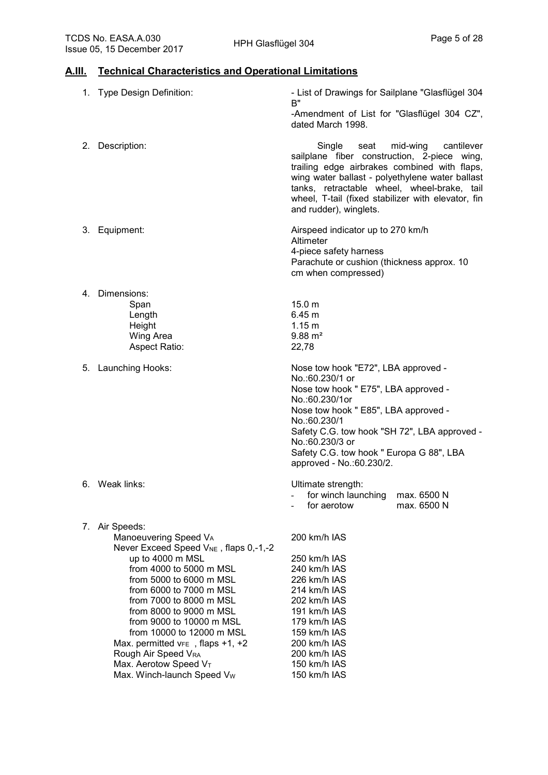#### **A.III. Technical Characteristics and Operational Limitations**

|    | 1. Type Design Definition:                                                                                                                                                                                                                                                                                                                                                                                                                            | - List of Drawings for Sailplane "Glasflügel 304<br>B"<br>-Amendment of List for "Glasflügel 304 CZ",<br>dated March 1998.                                                                                                                                                                                                |
|----|-------------------------------------------------------------------------------------------------------------------------------------------------------------------------------------------------------------------------------------------------------------------------------------------------------------------------------------------------------------------------------------------------------------------------------------------------------|---------------------------------------------------------------------------------------------------------------------------------------------------------------------------------------------------------------------------------------------------------------------------------------------------------------------------|
| 2. | Description:                                                                                                                                                                                                                                                                                                                                                                                                                                          | Single<br>mid-wing<br>cantilever<br>seat<br>sailplane fiber construction, 2-piece wing,<br>trailing edge airbrakes combined with flaps,<br>wing water ballast - polyethylene water ballast<br>tanks, retractable wheel, wheel-brake, tail<br>wheel, T-tail (fixed stabilizer with elevator, fin<br>and rudder), winglets. |
|    | 3. Equipment:                                                                                                                                                                                                                                                                                                                                                                                                                                         | Airspeed indicator up to 270 km/h<br>Altimeter<br>4-piece safety harness<br>Parachute or cushion (thickness approx. 10<br>cm when compressed)                                                                                                                                                                             |
| 4. | Dimensions:<br>Span<br>Length<br>Height<br><b>Wing Area</b><br>Aspect Ratio:                                                                                                                                                                                                                                                                                                                                                                          | 15.0 m<br>6.45 m<br>1.15 <sub>m</sub><br>$9.88 \text{ m}^2$<br>22,78                                                                                                                                                                                                                                                      |
| 5. | Launching Hooks:                                                                                                                                                                                                                                                                                                                                                                                                                                      | Nose tow hook "E72", LBA approved -<br>No.:60.230/1 or<br>Nose tow hook " E75", LBA approved -<br>No.:60.230/1or<br>Nose tow hook " E85", LBA approved -<br>No.:60.230/1<br>Safety C.G. tow hook "SH 72", LBA approved -<br>No.:60.230/3 or<br>Safety C.G. tow hook " Europa G 88", LBA<br>approved - No.:60.230/2.       |
|    | 6. Weak links:                                                                                                                                                                                                                                                                                                                                                                                                                                        | Ultimate strength:<br>for winch launching<br>max. 6500 N<br>for aerotow<br>max. 6500 N                                                                                                                                                                                                                                    |
|    | 7. Air Speeds:<br>Manoeuvering Speed VA<br>Never Exceed Speed V <sub>NE</sub> , flaps 0,-1,-2<br>up to 4000 m MSL<br>from 4000 to 5000 m MSL<br>from 5000 to 6000 m MSL<br>from 6000 to 7000 m MSL<br>from 7000 to 8000 m MSL<br>from 8000 to 9000 m MSL<br>from 9000 to 10000 m MSL<br>from 10000 to 12000 m MSL<br>Max. permitted $v_{FE}$ , flaps +1, +2<br>Rough Air Speed VRA<br>Max. Aerotow Speed V <sub>T</sub><br>Max. Winch-launch Speed Vw | 200 km/h IAS<br>250 km/h IAS<br>240 km/h IAS<br>226 km/h IAS<br>214 km/h IAS<br>202 km/h IAS<br>191 km/h IAS<br>179 km/h IAS<br>159 km/h IAS<br>200 km/h IAS<br>200 km/h IAS<br>150 km/h IAS<br>150 km/h IAS                                                                                                              |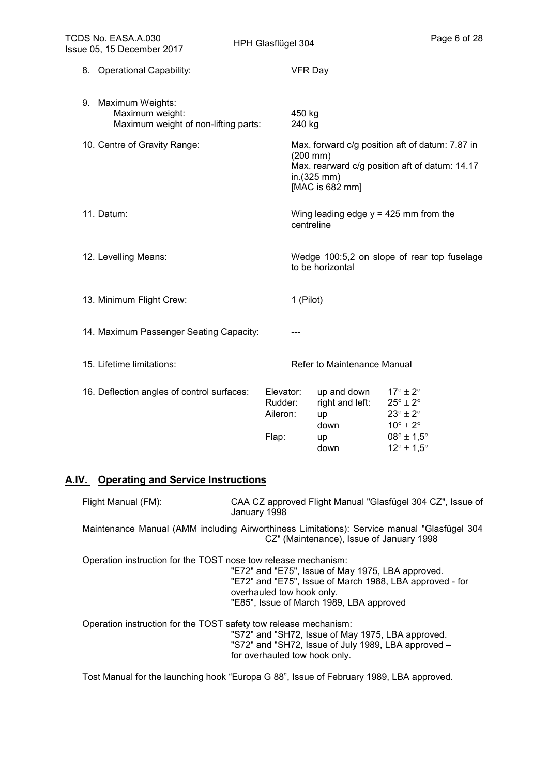| 8. Operational Capability:<br><b>VFR Day</b><br>9. Maximum Weights:<br>Maximum weight:<br>450 kg<br>Maximum weight of non-lifting parts:<br>240 kg<br>10. Centre of Gravity Range:<br>Max. forward c/g position aft of datum: 7.87 in<br>$(200 \, \text{mm})$<br>Max. rearward c/g position aft of datum: 14.17<br>in.(325 mm)<br>[MAC is 682 mm]<br>Wing leading edge $y = 425$ mm from the<br>11. Datum:<br>centreline<br>Wedge 100:5,2 on slope of rear top fuselage<br>12. Levelling Means:<br>to be horizontal<br>13. Minimum Flight Crew:<br>1 (Pilot)<br>14. Maximum Passenger Seating Capacity:<br>15. Lifetime limitations:<br>Refer to Maintenance Manual<br>16. Deflection angles of control surfaces:<br>Elevator:<br>$17^{\circ} \pm 2^{\circ}$<br>up and down<br>right and left:<br>Rudder:<br>$25^{\circ} \pm 2^{\circ}$<br>$23^\circ \pm 2^\circ$<br>Aileron:<br>up<br>$10^{\circ} \pm 2^{\circ}$<br>down<br>$08^\circ \pm 1.5^\circ$<br>Flap:<br>up<br>$12^{\circ} \pm 1.5^{\circ}$<br>down | TCDS No. EASA.A.030<br>Issue 05, 15 December 2017 | HPH Glasflügel 304 | Page 6 of 28 |
|--------------------------------------------------------------------------------------------------------------------------------------------------------------------------------------------------------------------------------------------------------------------------------------------------------------------------------------------------------------------------------------------------------------------------------------------------------------------------------------------------------------------------------------------------------------------------------------------------------------------------------------------------------------------------------------------------------------------------------------------------------------------------------------------------------------------------------------------------------------------------------------------------------------------------------------------------------------------------------------------------------------|---------------------------------------------------|--------------------|--------------|
|                                                                                                                                                                                                                                                                                                                                                                                                                                                                                                                                                                                                                                                                                                                                                                                                                                                                                                                                                                                                              |                                                   |                    |              |
|                                                                                                                                                                                                                                                                                                                                                                                                                                                                                                                                                                                                                                                                                                                                                                                                                                                                                                                                                                                                              |                                                   |                    |              |
|                                                                                                                                                                                                                                                                                                                                                                                                                                                                                                                                                                                                                                                                                                                                                                                                                                                                                                                                                                                                              |                                                   |                    |              |
|                                                                                                                                                                                                                                                                                                                                                                                                                                                                                                                                                                                                                                                                                                                                                                                                                                                                                                                                                                                                              |                                                   |                    |              |
|                                                                                                                                                                                                                                                                                                                                                                                                                                                                                                                                                                                                                                                                                                                                                                                                                                                                                                                                                                                                              |                                                   |                    |              |
|                                                                                                                                                                                                                                                                                                                                                                                                                                                                                                                                                                                                                                                                                                                                                                                                                                                                                                                                                                                                              |                                                   |                    |              |
|                                                                                                                                                                                                                                                                                                                                                                                                                                                                                                                                                                                                                                                                                                                                                                                                                                                                                                                                                                                                              |                                                   |                    |              |
|                                                                                                                                                                                                                                                                                                                                                                                                                                                                                                                                                                                                                                                                                                                                                                                                                                                                                                                                                                                                              |                                                   |                    |              |
|                                                                                                                                                                                                                                                                                                                                                                                                                                                                                                                                                                                                                                                                                                                                                                                                                                                                                                                                                                                                              |                                                   |                    |              |

## **A.IV. Operating and Service Instructions**

| Flight Manual (FM): | CAA CZ approved Flight Manual "Glasfügel 304 CZ", Issue of<br>January 1998                                                                                                                                                                               |
|---------------------|----------------------------------------------------------------------------------------------------------------------------------------------------------------------------------------------------------------------------------------------------------|
|                     | Maintenance Manual (AMM including Airworthiness Limitations): Service manual "Glasfügel 304<br>CZ" (Maintenance), Issue of January 1998                                                                                                                  |
|                     | Operation instruction for the TOST nose tow release mechanism:<br>"E72" and "E75", Issue of May 1975, LBA approved.<br>"E72" and "E75", Issue of March 1988, LBA approved - for<br>overhauled tow hook only.<br>"E85", Issue of March 1989, LBA approved |
|                     | Operation instruction for the TOST safety tow release mechanism:<br>"S72" and "SH72, Issue of May 1975, LBA approved.<br>"S72" and "SH72, Issue of July 1989, LBA approved -<br>for overhauled tow hook only.                                            |

Tost Manual for the launching hook "Europa G 88", Issue of February 1989, LBA approved.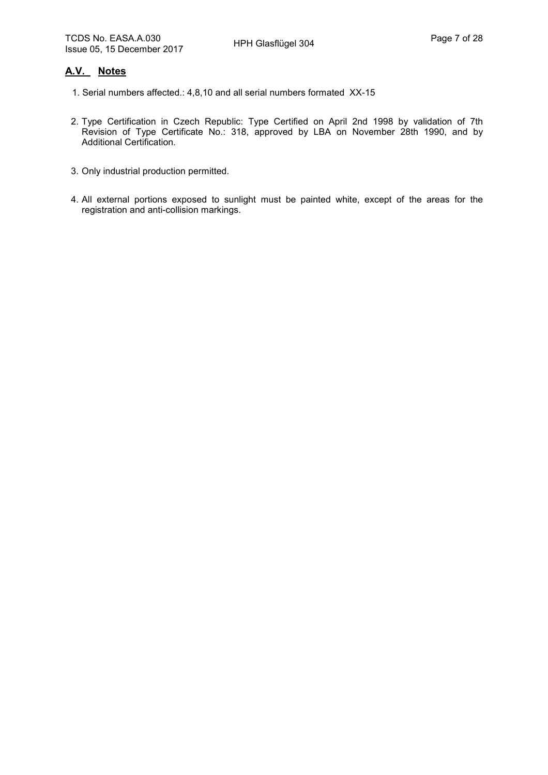#### **A.V. Notes**

- 1. Serial numbers affected.: 4,8,10 and all serial numbers formated XX-15
- 2. Type Certification in Czech Republic: Type Certified on April 2nd 1998 by validation of 7th Revision of Type Certificate No.: 318, approved by LBA on November 28th 1990, and by Additional Certification.
- 3. Only industrial production permitted.
- 4. All external portions exposed to sunlight must be painted white, except of the areas for the registration and anti-collision markings.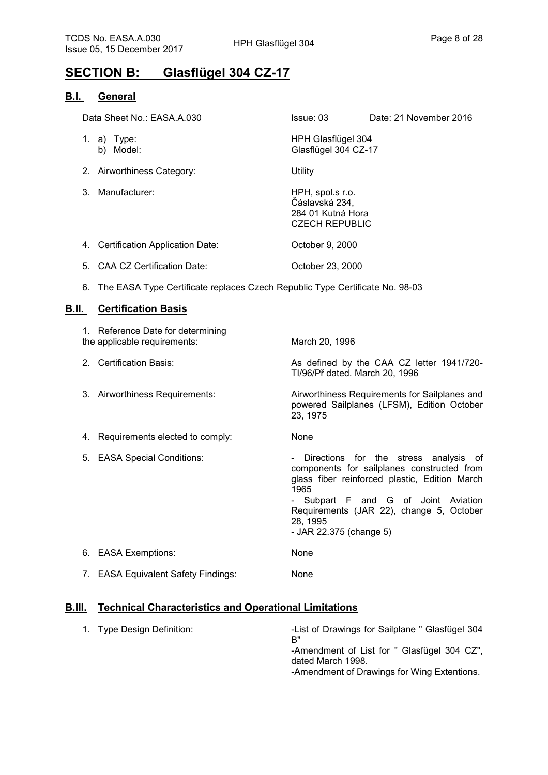## **SECTION B: Glasflügel 304 CZ-17**

#### **B.I. General**

| Data Sheet No.: EASA.A.030 |                          |                            | Issue: 03                                  | Date: 21 November 2016 |
|----------------------------|--------------------------|----------------------------|--------------------------------------------|------------------------|
|                            | 1. a) Type:<br>b) Model: |                            | HPH Glasflügel 304<br>Glasflügel 304 CZ-17 |                        |
|                            |                          | 2. Airworthiness Category: | Utility                                    |                        |

3. Manufacturer: HPH, spol.s r.o.

Čáslavská 234, 284 01 Kutná Hora CZECH REPUBLIC

- 4. Certification Application Date: October 9, 2000
- 5. CAA CZ Certification Date: Case Corrected: Corrected: Corrected: October 23, 2000
- 6. The EASA Type Certificate replaces Czech Republic Type Certificate No. 98-03

#### **B.II. Certification Basis**

| 1. Reference Date for determining<br>the applicable requirements: | March 20, 1996                                                                                                                                                                                                                                                           |
|-------------------------------------------------------------------|--------------------------------------------------------------------------------------------------------------------------------------------------------------------------------------------------------------------------------------------------------------------------|
| 2. Certification Basis:                                           | As defined by the CAA CZ letter 1941/720-<br>TI/96/Př dated. March 20, 1996                                                                                                                                                                                              |
| 3. Airworthiness Requirements:                                    | Airworthiness Requirements for Sailplanes and<br>powered Sailplanes (LFSM), Edition October<br>23, 1975                                                                                                                                                                  |
| 4. Requirements elected to comply:                                | None                                                                                                                                                                                                                                                                     |
| 5. EASA Special Conditions:                                       | - Directions for the stress analysis of<br>components for sailplanes constructed from<br>glass fiber reinforced plastic, Edition March<br>1965<br>- Subpart F and G of Joint Aviation<br>Requirements (JAR 22), change 5, October<br>28, 1995<br>- JAR 22.375 (change 5) |
| 6. EASA Exemptions:                                               | None                                                                                                                                                                                                                                                                     |
| 7. EASA Equivalent Safety Findings:                               | None                                                                                                                                                                                                                                                                     |

#### **B.III. Technical Characteristics and Operational Limitations**

| 1. Type Design Definition: | -List of Drawings for Sailplane " Glasfügel 304<br>R"            |
|----------------------------|------------------------------------------------------------------|
|                            | -Amendment of List for " Glasfügel 304 CZ",<br>dated March 1998. |
|                            | -Amendment of Drawings for Wing Extentions.                      |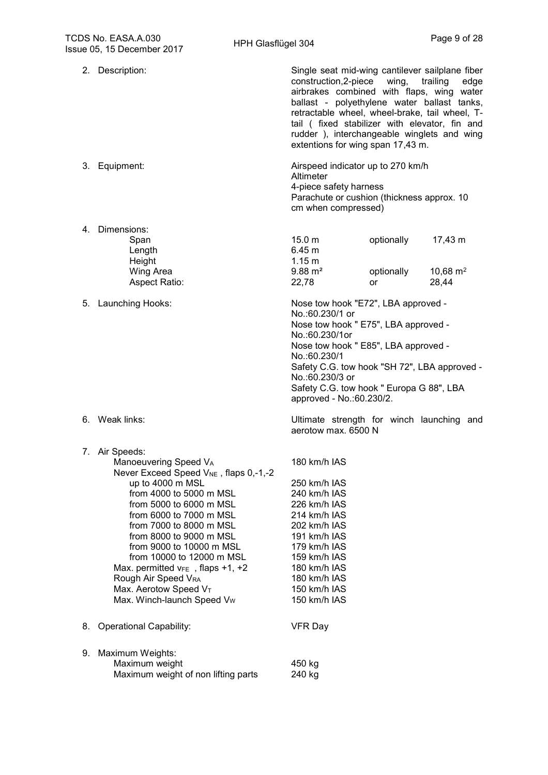|    | 2. Description:                                                                                                                                                                                                                                                                                                                                                                                                                                       | Single seat mid-wing cantilever sailplane fiber<br>construction, 2-piece wing,<br>trailing<br>edge<br>airbrakes combined with flaps, wing water<br>ballast - polyethylene water ballast tanks,<br>retractable wheel, wheel-brake, tail wheel, T-<br>tail (fixed stabilizer with elevator, fin and<br>rudder), interchangeable winglets and wing<br>extentions for wing span 17,43 m. |
|----|-------------------------------------------------------------------------------------------------------------------------------------------------------------------------------------------------------------------------------------------------------------------------------------------------------------------------------------------------------------------------------------------------------------------------------------------------------|--------------------------------------------------------------------------------------------------------------------------------------------------------------------------------------------------------------------------------------------------------------------------------------------------------------------------------------------------------------------------------------|
|    | 3. Equipment:                                                                                                                                                                                                                                                                                                                                                                                                                                         | Airspeed indicator up to 270 km/h<br>Altimeter<br>4-piece safety harness<br>Parachute or cushion (thickness approx. 10<br>cm when compressed)                                                                                                                                                                                                                                        |
| 4. | Dimensions:<br>Span<br>Length<br>Height<br>Wing Area<br>Aspect Ratio:                                                                                                                                                                                                                                                                                                                                                                                 | 15.0 <sub>m</sub><br>optionally<br>17,43 m<br>6.45 <sub>m</sub><br>1.15 m<br>$9.88 \text{ m}^2$<br>optionally<br>10,68 $m2$<br>22,78<br>28,44<br>or                                                                                                                                                                                                                                  |
|    | 5. Launching Hooks:                                                                                                                                                                                                                                                                                                                                                                                                                                   | Nose tow hook "E72", LBA approved -<br>No.:60.230/1 or<br>Nose tow hook " E75", LBA approved -<br>No.:60.230/1or<br>Nose tow hook " E85", LBA approved -<br>No.:60.230/1<br>Safety C.G. tow hook "SH 72", LBA approved -<br>No.:60.230/3 or<br>Safety C.G. tow hook " Europa G 88", LBA<br>approved - No.:60.230/2.                                                                  |
|    | 6. Weak links:                                                                                                                                                                                                                                                                                                                                                                                                                                        | Ultimate strength for winch launching and<br>aerotow max. 6500 N                                                                                                                                                                                                                                                                                                                     |
|    | 7. Air Speeds:<br>Manoeuvering Speed VA<br>Never Exceed Speed V <sub>NE</sub> , flaps 0,-1,-2<br>up to 4000 m MSL<br>from 4000 to 5000 m MSL<br>from 5000 to 6000 m MSL<br>from 6000 to 7000 m MSL<br>from 7000 to 8000 m MSL<br>from 8000 to 9000 m MSL<br>from 9000 to 10000 m MSL<br>from 10000 to 12000 m MSL<br>Max. permitted $v_{FE}$ , flaps +1, +2<br>Rough Air Speed VRA<br>Max. Aerotow Speed VT<br>Max. Winch-launch Speed V <sub>w</sub> | 180 km/h IAS<br>250 km/h IAS<br>240 km/h IAS<br>226 km/h IAS<br>214 km/h IAS<br>202 km/h IAS<br>191 km/h IAS<br>179 km/h IAS<br>159 km/h IAS<br>180 km/h IAS<br>180 km/h IAS<br>150 km/h IAS<br>150 km/h IAS                                                                                                                                                                         |
| 8. | <b>Operational Capability:</b>                                                                                                                                                                                                                                                                                                                                                                                                                        | <b>VFR Day</b>                                                                                                                                                                                                                                                                                                                                                                       |
| 9. | Maximum Weights:<br>Maximum weight<br>Maximum weight of non lifting parts                                                                                                                                                                                                                                                                                                                                                                             | 450 kg<br>240 kg                                                                                                                                                                                                                                                                                                                                                                     |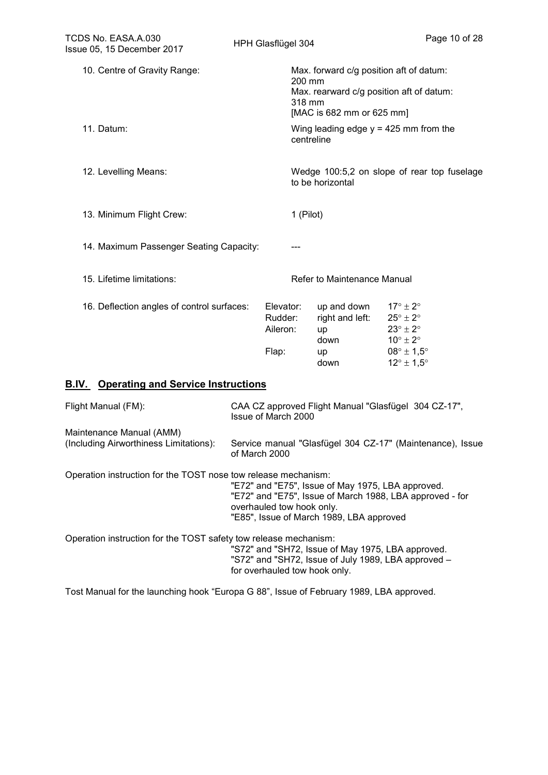| TCDS No. EASA.A.030<br>Issue 05, 15 December 2017                  |  | HPH Glasflügel 304                        |                                                                                          | Page 10 of 28                                                                                                                                                                    |
|--------------------------------------------------------------------|--|-------------------------------------------|------------------------------------------------------------------------------------------|----------------------------------------------------------------------------------------------------------------------------------------------------------------------------------|
| 10. Centre of Gravity Range:                                       |  |                                           | Max. forward c/g position aft of datum:<br>200 mm<br>318 mm<br>[MAC is 682 mm or 625 mm] | Max. rearward c/g position aft of datum:                                                                                                                                         |
| 11. Datum:                                                         |  |                                           | centreline                                                                               | Wing leading edge $y = 425$ mm from the                                                                                                                                          |
| 12. Levelling Means:                                               |  |                                           | to be horizontal                                                                         | Wedge 100:5,2 on slope of rear top fuselage                                                                                                                                      |
| 13. Minimum Flight Crew:                                           |  |                                           | 1 (Pilot)                                                                                |                                                                                                                                                                                  |
| 14. Maximum Passenger Seating Capacity:                            |  |                                           |                                                                                          |                                                                                                                                                                                  |
| 15. Lifetime limitations:                                          |  |                                           | Refer to Maintenance Manual                                                              |                                                                                                                                                                                  |
| 16. Deflection angles of control surfaces:                         |  | Elevator:<br>Rudder:<br>Aileron:<br>Flap: | up and down<br>right and left:<br>up<br>down<br>up<br>down                               | $17^{\circ} \pm 2^{\circ}$<br>$25^{\circ} \pm 2^{\circ}$<br>$23^{\circ} \pm 2^{\circ}$<br>$10^{\circ} \pm 2^{\circ}$<br>$08^\circ \pm 1.5^\circ$<br>$12^{\circ} \pm 1.5^{\circ}$ |
| <b>B.IV.</b> Operating and Service Instructions                    |  |                                           |                                                                                          |                                                                                                                                                                                  |
| Flight Manual (FM):                                                |  | Issue of March 2000                       |                                                                                          | CAA CZ approved Flight Manual "Glasfügel 304 CZ-17",                                                                                                                             |
| Maintenance Manual (AMM)<br>(Including Airworthiness Limitations): |  | of March 2000                             |                                                                                          | Service manual "Glasfügel 304 CZ-17" (Maintenance), Issue                                                                                                                        |
| Operation instruction for the TOST nose tow release mechanism:     |  |                                           | "E72" and "E75", Issue of May 1975, LBA approved.                                        |                                                                                                                                                                                  |

 "E72" and "E75", Issue of March 1988, LBA approved - for overhauled tow hook only. "E85", Issue of March 1989, LBA approved

Operation instruction for the TOST safety tow release mechanism:

 "S72" and "SH72, Issue of May 1975, LBA approved. "S72" and "SH72, Issue of July 1989, LBA approved – for overhauled tow hook only.

Tost Manual for the launching hook "Europa G 88", Issue of February 1989, LBA approved.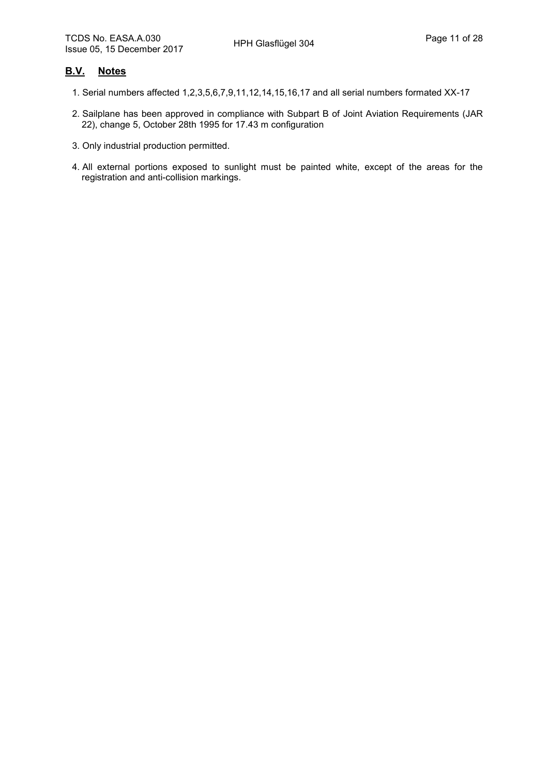#### **B.V. Notes**

- 1. Serial numbers affected 1,2,3,5,6,7,9,11,12,14,15,16,17 and all serial numbers formated XX-17
- 2. Sailplane has been approved in compliance with Subpart B of Joint Aviation Requirements (JAR 22), change 5, October 28th 1995 for 17.43 m configuration
- 3. Only industrial production permitted.
- 4. All external portions exposed to sunlight must be painted white, except of the areas for the registration and anti-collision markings.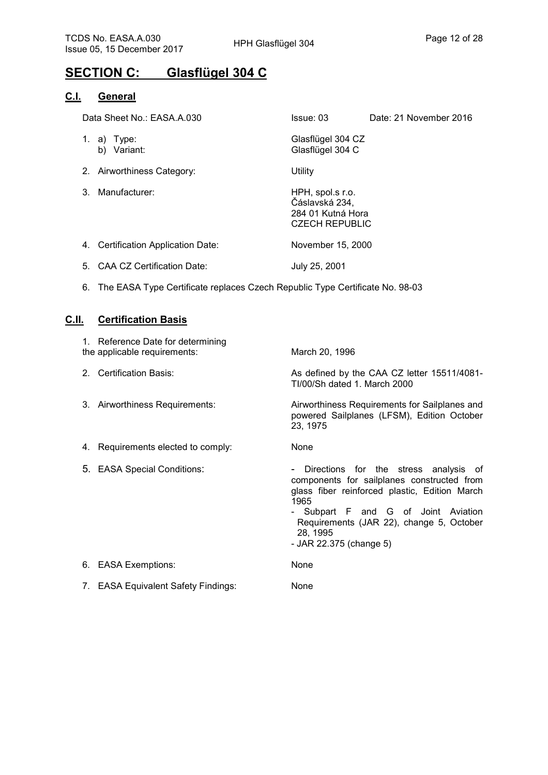# **SECTION C: Glasflügel 304 C**

#### **C.I. General**

| Data Sheet No.: EASA.A.030                   | Issue: 03<br>Date: 21 November 2016                                              |
|----------------------------------------------|----------------------------------------------------------------------------------|
| 1. a) Type:<br>Variant:<br>b)                | Glasflügel 304 CZ<br>Glasflügel 304 C                                            |
| 2. Airworthiness Category:                   | Utility                                                                          |
| Manufacturer:<br>3                           | HPH, spol.s r.o.<br>Čáslavská 234,<br>284 01 Kutná Hora<br><b>CZECH REPUBLIC</b> |
| <b>Certification Application Date:</b><br>4. | November 15, 2000                                                                |

5. CAA CZ Certification Date: July 25, 2001

6. The EASA Type Certificate replaces Czech Republic Type Certificate No. 98-03

#### **C.II. Certification Basis**

| 1. Reference Date for determining<br>the applicable requirements: | March 20, 1996                                                                                                                                                                                                                                                           |
|-------------------------------------------------------------------|--------------------------------------------------------------------------------------------------------------------------------------------------------------------------------------------------------------------------------------------------------------------------|
| 2. Certification Basis:                                           | As defined by the CAA CZ letter 15511/4081-<br>TI/00/Sh dated 1. March 2000                                                                                                                                                                                              |
| 3. Airworthiness Requirements:                                    | Airworthiness Requirements for Sailplanes and<br>powered Sailplanes (LFSM), Edition October<br>23, 1975                                                                                                                                                                  |
| 4. Requirements elected to comply:                                | None                                                                                                                                                                                                                                                                     |
| 5. EASA Special Conditions:                                       | - Directions for the stress analysis of<br>components for sailplanes constructed from<br>glass fiber reinforced plastic, Edition March<br>1965<br>- Subpart F and G of Joint Aviation<br>Requirements (JAR 22), change 5, October<br>28, 1995<br>- JAR 22.375 (change 5) |
| 6. EASA Exemptions:                                               | None                                                                                                                                                                                                                                                                     |
| 7. EASA Equivalent Safety Findings:                               | None                                                                                                                                                                                                                                                                     |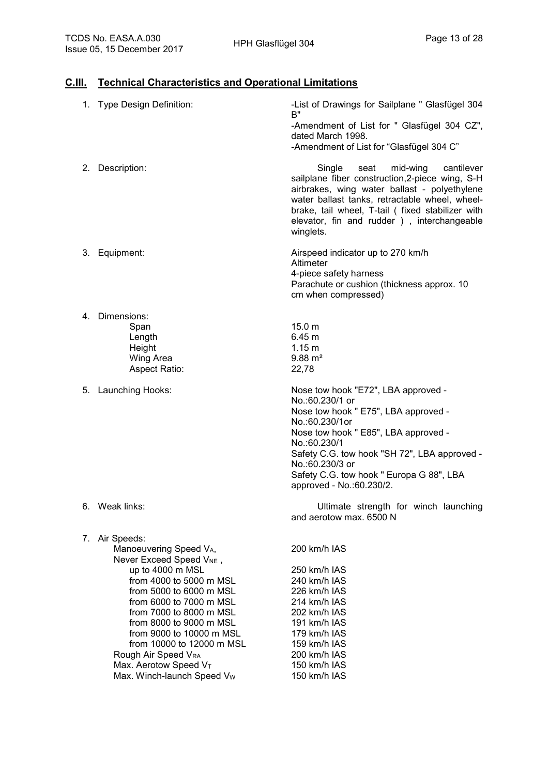#### **C.III. Technical Characteristics and Operational Limitations**

| 1. Type Design Definition:                                                                                                                                                                                                                                                                                                                                                                     | -List of Drawings for Sailplane " Glasfügel 304<br>B"<br>-Amendment of List for " Glasfügel 304 CZ",<br>dated March 1998.<br>-Amendment of List for "Glasfügel 304 C"                                                                                                                                               |
|------------------------------------------------------------------------------------------------------------------------------------------------------------------------------------------------------------------------------------------------------------------------------------------------------------------------------------------------------------------------------------------------|---------------------------------------------------------------------------------------------------------------------------------------------------------------------------------------------------------------------------------------------------------------------------------------------------------------------|
| Description:<br>2.                                                                                                                                                                                                                                                                                                                                                                             | Single<br>seat<br>mid-wing<br>cantilever<br>sailplane fiber construction, 2-piece wing, S-H<br>airbrakes, wing water ballast - polyethylene<br>water ballast tanks, retractable wheel, wheel-<br>brake, tail wheel, T-tail ( fixed stabilizer with<br>elevator, fin and rudder ), interchangeable<br>winglets.      |
| Equipment:<br>3.                                                                                                                                                                                                                                                                                                                                                                               | Airspeed indicator up to 270 km/h<br>Altimeter<br>4-piece safety harness<br>Parachute or cushion (thickness approx. 10<br>cm when compressed)                                                                                                                                                                       |
| 4. Dimensions:<br>Span<br>Length<br>Height<br>Wing Area<br>Aspect Ratio:                                                                                                                                                                                                                                                                                                                       | 15.0 m<br>6.45 m<br>1.15 m<br>$9.88 \text{ m}^2$<br>22,78                                                                                                                                                                                                                                                           |
| Launching Hooks:<br>5.                                                                                                                                                                                                                                                                                                                                                                         | Nose tow hook "E72", LBA approved -<br>No.:60.230/1 or<br>Nose tow hook " E75", LBA approved -<br>No.:60.230/1or<br>Nose tow hook " E85", LBA approved -<br>No.:60.230/1<br>Safety C.G. tow hook "SH 72", LBA approved -<br>No.:60.230/3 or<br>Safety C.G. tow hook " Europa G 88", LBA<br>approved - No.:60.230/2. |
| Weak links:<br>6.                                                                                                                                                                                                                                                                                                                                                                              | Ultimate strength for winch launching<br>and aerotow max, 6500 N                                                                                                                                                                                                                                                    |
| 7. Air Speeds:<br>Manoeuvering Speed VA,<br>Never Exceed Speed V <sub>NE</sub> ,<br>up to 4000 m MSL<br>from 4000 to 5000 m MSL<br>from 5000 to 6000 m MSL<br>from 6000 to 7000 m MSL<br>from 7000 to 8000 m MSL<br>from 8000 to 9000 m MSL<br>from 9000 to 10000 m MSL<br>from 10000 to 12000 m MSL<br>Rough Air Speed VRA<br>Max. Aerotow Speed VT<br>Max. Winch-launch Speed V <sub>w</sub> | 200 km/h IAS<br>250 km/h IAS<br>240 km/h IAS<br>226 km/h IAS<br>214 km/h IAS<br>202 km/h IAS<br>191 km/h IAS<br>179 km/h IAS<br>159 km/h IAS<br>200 km/h IAS<br>150 km/h IAS<br>150 km/h IAS                                                                                                                        |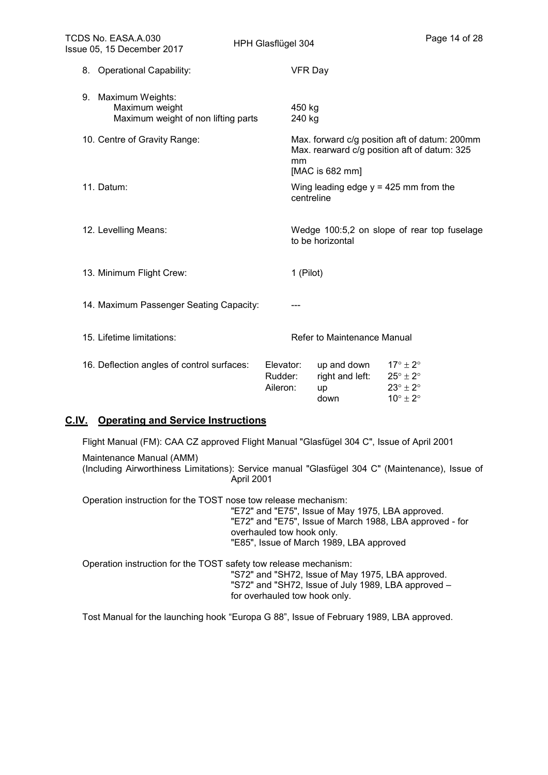| TCDS No. EASA.A.030<br>Issue 05, 15 December 2017                            | HPH Glasflügel 304               |                                              | Page 14 of 28                                                                                                |
|------------------------------------------------------------------------------|----------------------------------|----------------------------------------------|--------------------------------------------------------------------------------------------------------------|
| 8. Operational Capability:                                                   |                                  | <b>VFR Day</b>                               |                                                                                                              |
| 9. Maximum Weights:<br>Maximum weight<br>Maximum weight of non lifting parts | 450 kg<br>240 kg                 |                                              |                                                                                                              |
| 10. Centre of Gravity Range:                                                 | mm                               | [MAC is 682 mm]                              | Max. forward c/g position aft of datum: 200mm<br>Max. rearward c/g position aft of datum: 325                |
| 11. Datum:                                                                   |                                  | centreline                                   | Wing leading edge $y = 425$ mm from the                                                                      |
| 12. Levelling Means:                                                         |                                  | to be horizontal                             | Wedge 100:5,2 on slope of rear top fuselage                                                                  |
| 13. Minimum Flight Crew:                                                     |                                  | 1 (Pilot)                                    |                                                                                                              |
| 14. Maximum Passenger Seating Capacity:                                      |                                  |                                              |                                                                                                              |
| 15. Lifetime limitations:                                                    |                                  | Refer to Maintenance Manual                  |                                                                                                              |
| 16. Deflection angles of control surfaces:                                   | Elevator:<br>Rudder:<br>Aileron: | up and down<br>right and left:<br>up<br>down | $17^\circ \pm 2^\circ$<br>$25^{\circ} \pm 2^{\circ}$<br>$23^\circ \pm 2^\circ$<br>$10^{\circ} \pm 2^{\circ}$ |

#### **C.IV. Operating and Service Instructions**

Flight Manual (FM): CAA CZ approved Flight Manual "Glasfügel 304 C", Issue of April 2001

 Maintenance Manual (AMM) (Including Airworthiness Limitations): Service manual "Glasfügel 304 C" (Maintenance), Issue of April 2001

Operation instruction for the TOST nose tow release mechanism:

 "E72" and "E75", Issue of May 1975, LBA approved. "E72" and "E75", Issue of March 1988, LBA approved - for overhauled tow hook only. "E85", Issue of March 1989, LBA approved

Operation instruction for the TOST safety tow release mechanism:

 "S72" and "SH72, Issue of May 1975, LBA approved. "S72" and "SH72, Issue of July 1989, LBA approved – for overhauled tow hook only.

Tost Manual for the launching hook "Europa G 88", Issue of February 1989, LBA approved.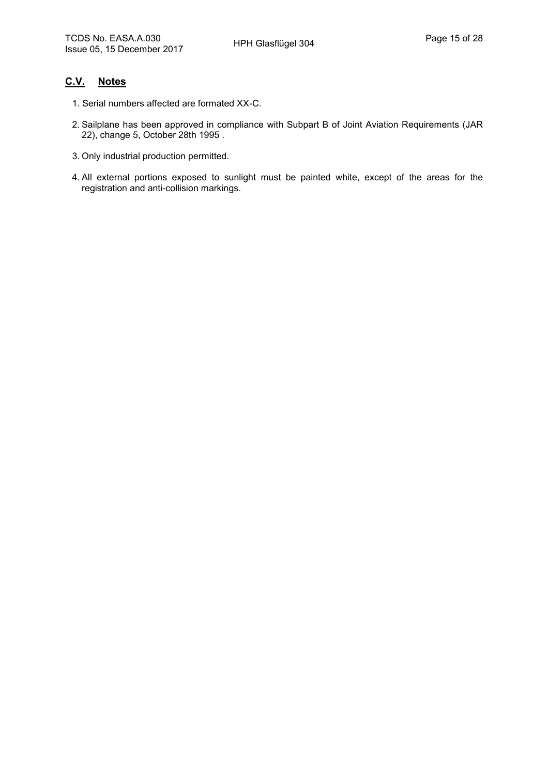#### **C.V. Notes**

- 1. Serial numbers affected are formated XX-C.
- 2. Sailplane has been approved in compliance with Subpart B of Joint Aviation Requirements (JAR 22), change 5, October 28th 1995 .
- 3. Only industrial production permitted.
- 4. All external portions exposed to sunlight must be painted white, except of the areas for the registration and anti-collision markings.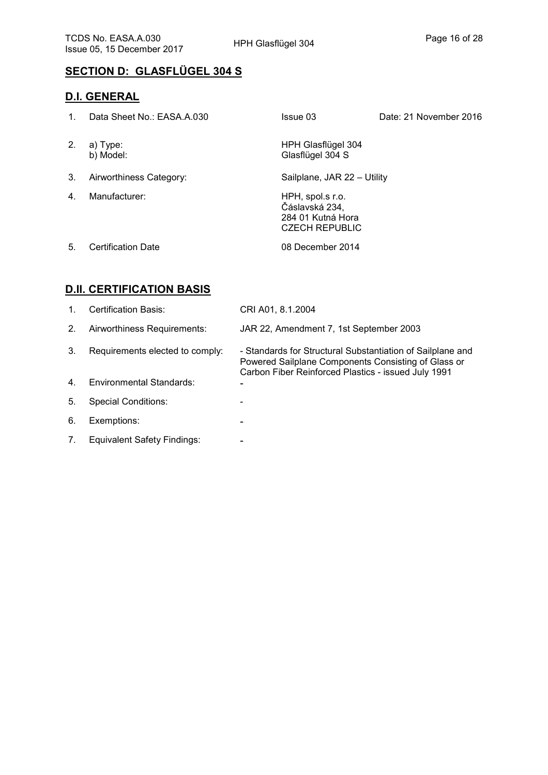# **SECTION D: GLASFLÜGEL 304 S**

#### **D.I. GENERAL**

| $1_{-}$ | Data Sheet No.: EASA.A.030 | Issue 03                                                                         | Date: 21 November 2016 |
|---------|----------------------------|----------------------------------------------------------------------------------|------------------------|
| 2.      | a) Type:<br>b) Model:      | HPH Glasflügel 304<br>Glasflügel 304 S                                           |                        |
| 3.      | Airworthiness Category:    | Sailplane, JAR 22 - Utility                                                      |                        |
| 4.      | Manufacturer:              | HPH, spol.s r.o.<br>Čáslavská 234,<br>284 01 Kutná Hora<br><b>CZECH REPUBLIC</b> |                        |
| 5.      | <b>Certification Date</b>  | 08 December 2014                                                                 |                        |

# **D.II. CERTIFICATION BASIS**

| $\mathbf{1}$ . | <b>Certification Basis:</b>        | CRI A01, 8.1.2004                                                                                                                                                        |
|----------------|------------------------------------|--------------------------------------------------------------------------------------------------------------------------------------------------------------------------|
| 2.             | Airworthiness Requirements:        | JAR 22, Amendment 7, 1st September 2003                                                                                                                                  |
| 3.             | Requirements elected to comply:    | - Standards for Structural Substantiation of Sailplane and<br>Powered Sailplane Components Consisting of Glass or<br>Carbon Fiber Reinforced Plastics - issued July 1991 |
| $\mathbf{4}$   | <b>Environmental Standards:</b>    |                                                                                                                                                                          |
| 5.             | <b>Special Conditions:</b>         |                                                                                                                                                                          |
| 6.             | Exemptions:                        |                                                                                                                                                                          |
| 7.             | <b>Equivalent Safety Findings:</b> |                                                                                                                                                                          |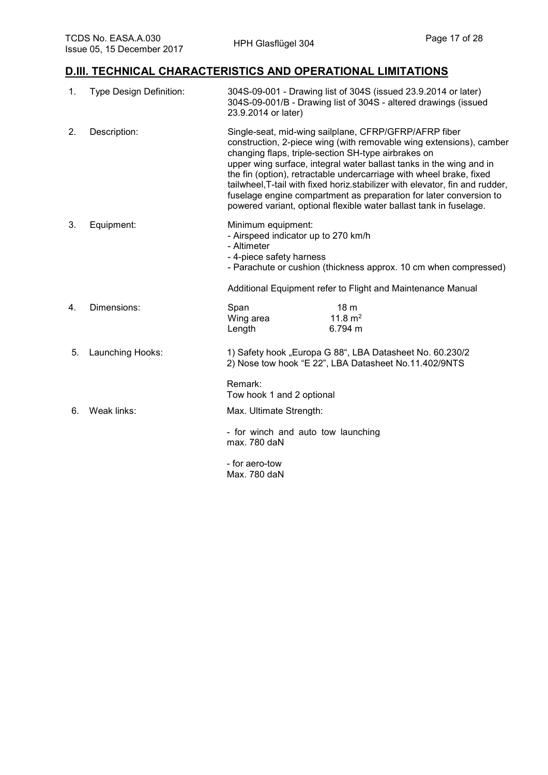#### **D.III. TECHNICAL CHARACTERISTICS AND OPERATIONAL LIMITATIONS**

| 1. | <b>Type Design Definition:</b> | 304S-09-001 - Drawing list of 304S (issued 23.9.2014 or later)<br>304S-09-001/B - Drawing list of 304S - altered drawings (issued<br>23.9.2014 or later)                                                                                                                                                                                                                                                                                                                                                                                                      |                                                                                                                                 |
|----|--------------------------------|---------------------------------------------------------------------------------------------------------------------------------------------------------------------------------------------------------------------------------------------------------------------------------------------------------------------------------------------------------------------------------------------------------------------------------------------------------------------------------------------------------------------------------------------------------------|---------------------------------------------------------------------------------------------------------------------------------|
| 2. | Description:                   | Single-seat, mid-wing sailplane, CFRP/GFRP/AFRP fiber<br>construction, 2-piece wing (with removable wing extensions), camber<br>changing flaps, triple-section SH-type airbrakes on<br>upper wing surface, integral water ballast tanks in the wing and in<br>the fin (option), retractable undercarriage with wheel brake, fixed<br>tailwheel, T-tail with fixed horiz.stabilizer with elevator, fin and rudder,<br>fuselage engine compartment as preparation for later conversion to<br>powered variant, optional flexible water ballast tank in fuselage. |                                                                                                                                 |
| 3. | Equipment:                     | Minimum equipment:<br>- Airspeed indicator up to 270 km/h<br>- Altimeter<br>- 4-piece safety harness                                                                                                                                                                                                                                                                                                                                                                                                                                                          | - Parachute or cushion (thickness approx. 10 cm when compressed)<br>Additional Equipment refer to Flight and Maintenance Manual |
|    |                                |                                                                                                                                                                                                                                                                                                                                                                                                                                                                                                                                                               |                                                                                                                                 |
| 4. | Dimensions:                    | Span                                                                                                                                                                                                                                                                                                                                                                                                                                                                                                                                                          | 18 <sub>m</sub><br>$11.8 \text{ m}^2$                                                                                           |
|    |                                | Wing area<br>Length                                                                                                                                                                                                                                                                                                                                                                                                                                                                                                                                           | 6.794 m                                                                                                                         |
| 5. | Launching Hooks:               |                                                                                                                                                                                                                                                                                                                                                                                                                                                                                                                                                               | 1) Safety hook "Europa G 88", LBA Datasheet No. 60.230/2<br>2) Nose tow hook "E 22", LBA Datasheet No.11.402/9NTS               |
|    |                                | Remark:<br>Tow hook 1 and 2 optional                                                                                                                                                                                                                                                                                                                                                                                                                                                                                                                          |                                                                                                                                 |
| 6. | Weak links:                    | Max. Ultimate Strength:                                                                                                                                                                                                                                                                                                                                                                                                                                                                                                                                       |                                                                                                                                 |
|    |                                | - for winch and auto tow launching<br>max. 780 daN                                                                                                                                                                                                                                                                                                                                                                                                                                                                                                            |                                                                                                                                 |
|    |                                | - for aero-tow                                                                                                                                                                                                                                                                                                                                                                                                                                                                                                                                                |                                                                                                                                 |
|    |                                | Max. 780 daN                                                                                                                                                                                                                                                                                                                                                                                                                                                                                                                                                  |                                                                                                                                 |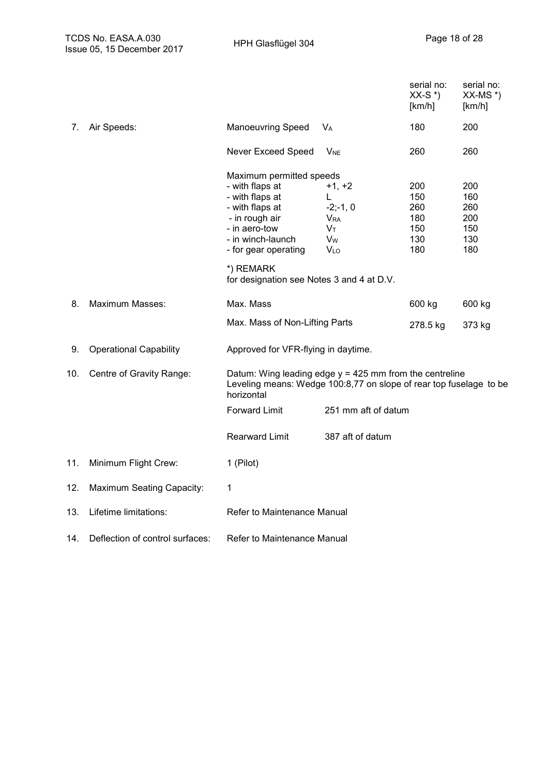|     |                                  |                                                                                                                                                                                                                             |                                                                                                     | serial no:<br>$XX-S^*$<br>[km/h]              | serial no:<br>$XX-MS^*$<br>[km/h]             |
|-----|----------------------------------|-----------------------------------------------------------------------------------------------------------------------------------------------------------------------------------------------------------------------------|-----------------------------------------------------------------------------------------------------|-----------------------------------------------|-----------------------------------------------|
| 7.  | Air Speeds:                      | <b>Manoeuvring Speed</b>                                                                                                                                                                                                    | <b>V<sub>A</sub></b>                                                                                | 180                                           | 200                                           |
|     |                                  | Never Exceed Speed                                                                                                                                                                                                          | <b>V<sub>NE</sub></b>                                                                               | 260                                           | 260                                           |
|     |                                  | Maximum permitted speeds<br>- with flaps at<br>- with flaps at<br>- with flaps at<br>- in rough air<br>- in aero-tow<br>- in winch-launch<br>- for gear operating<br>*) REMARK<br>for designation see Notes 3 and 4 at D.V. | $+1, +2$<br>L.<br>$-2; -1, 0$<br><b>V</b> <sub>RA</sub><br>Vт<br><b>V<sub>w</sub></b><br><b>VLO</b> | 200<br>150<br>260<br>180<br>150<br>130<br>180 | 200<br>160<br>260<br>200<br>150<br>130<br>180 |
| 8.  | <b>Maximum Masses:</b>           | Max. Mass                                                                                                                                                                                                                   |                                                                                                     | 600 kg                                        | 600 kg                                        |
|     |                                  | Max. Mass of Non-Lifting Parts                                                                                                                                                                                              |                                                                                                     | 278.5 kg                                      | 373 kg                                        |
| 9.  | <b>Operational Capability</b>    | Approved for VFR-flying in daytime.                                                                                                                                                                                         |                                                                                                     |                                               |                                               |
| 10. | Centre of Gravity Range:         | Datum: Wing leading edge $y = 425$ mm from the centreline<br>Leveling means: Wedge 100:8,77 on slope of rear top fuselage to be<br>horizontal                                                                               |                                                                                                     |                                               |                                               |
|     |                                  | <b>Forward Limit</b>                                                                                                                                                                                                        | 251 mm aft of datum                                                                                 |                                               |                                               |
|     |                                  | <b>Rearward Limit</b>                                                                                                                                                                                                       | 387 aft of datum                                                                                    |                                               |                                               |
| 11. | Minimum Flight Crew:             | 1 (Pilot)                                                                                                                                                                                                                   |                                                                                                     |                                               |                                               |
| 12. | <b>Maximum Seating Capacity:</b> | 1                                                                                                                                                                                                                           |                                                                                                     |                                               |                                               |
| 13. | Lifetime limitations:            | Refer to Maintenance Manual                                                                                                                                                                                                 |                                                                                                     |                                               |                                               |
| 14. | Deflection of control surfaces:  | Refer to Maintenance Manual                                                                                                                                                                                                 |                                                                                                     |                                               |                                               |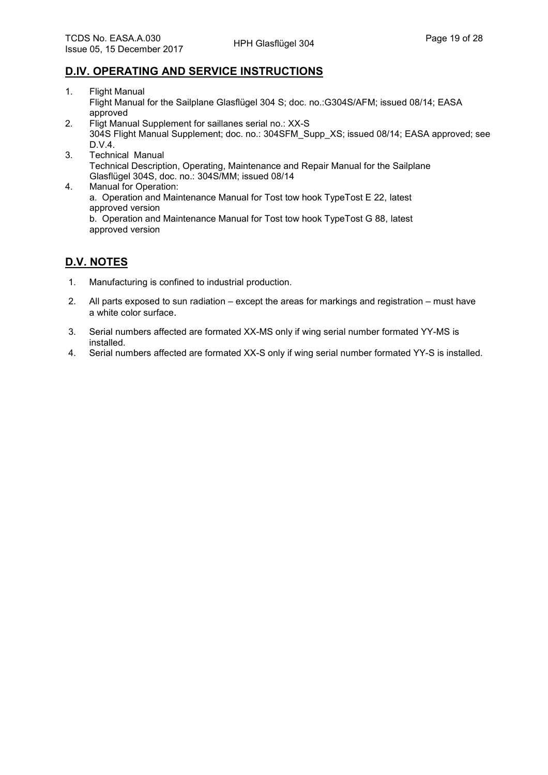#### **D.IV. OPERATING AND SERVICE INSTRUCTIONS**

- 1. Flight Manual Flight Manual for the Sailplane Glasflügel 304 S; doc. no.:G304S/AFM; issued 08/14; EASA approved
- 2. Fligt Manual Supplement for saillanes serial no.: XX-S 304S Flight Manual Supplement; doc. no.: 304SFM\_Supp\_XS; issued 08/14; EASA approved; see D.V.4.
- 3. Technical Manual Technical Description, Operating, Maintenance and Repair Manual for the Sailplane Glasflügel 304S, doc. no.: 304S/MM; issued 08/14
- 4. Manual for Operation: a. Operation and Maintenance Manual for Tost tow hook TypeTost E 22, latest approved version

b. Operation and Maintenance Manual for Tost tow hook TypeTost G 88, latest approved version

### **D.V. NOTES**

- 1. Manufacturing is confined to industrial production.
- 2. All parts exposed to sun radiation except the areas for markings and registration must have a white color surface.
- 3. Serial numbers affected are formated XX-MS only if wing serial number formated YY-MS is installed.
- 4. Serial numbers affected are formated XX-S only if wing serial number formated YY-S is installed.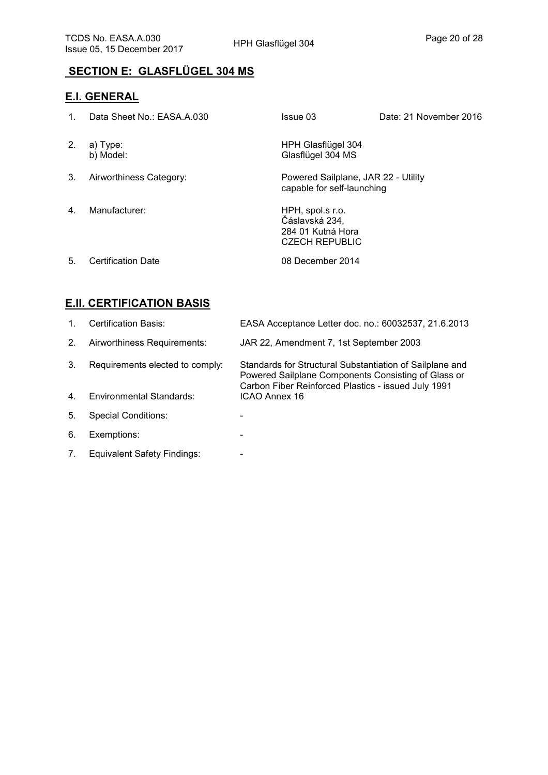# **SECTION E: GLASFLÜGEL 304 MS**

## **E.I. GENERAL**

| $\mathbf{1}_{\cdot}$ | Data Sheet No.: EASA.A.030 | Issue 03                                                                         | Date: 21 November 2016 |
|----------------------|----------------------------|----------------------------------------------------------------------------------|------------------------|
| 2.                   | a) Type:<br>b) Model:      | HPH Glasflügel 304<br>Glasflügel 304 MS                                          |                        |
| 3.                   | Airworthiness Category:    | Powered Sailplane, JAR 22 - Utility<br>capable for self-launching                |                        |
| $\mathbf{4}$         | Manufacturer:              | HPH, spol.s r.o.<br>Čáslavská 234,<br>284 01 Kutná Hora<br><b>CZECH REPUBLIC</b> |                        |
| 5.                   | <b>Certification Date</b>  | 08 December 2014                                                                 |                        |

#### **E.II. CERTIFICATION BASIS**

| 1              | Certification Basis:               | EASA Acceptance Letter doc. no.: 60032537, 21.6.2013                                                                                                                   |
|----------------|------------------------------------|------------------------------------------------------------------------------------------------------------------------------------------------------------------------|
| 2.             | Airworthiness Requirements:        | JAR 22, Amendment 7, 1st September 2003                                                                                                                                |
| 3.             | Requirements elected to comply:    | Standards for Structural Substantiation of Sailplane and<br>Powered Sailplane Components Consisting of Glass or<br>Carbon Fiber Reinforced Plastics - issued July 1991 |
| 4 <sub>1</sub> | <b>Environmental Standards:</b>    | ICAO Annex 16                                                                                                                                                          |
| 5.             | <b>Special Conditions:</b>         |                                                                                                                                                                        |
| 6.             | Exemptions:                        |                                                                                                                                                                        |
| 7.             | <b>Equivalent Safety Findings:</b> |                                                                                                                                                                        |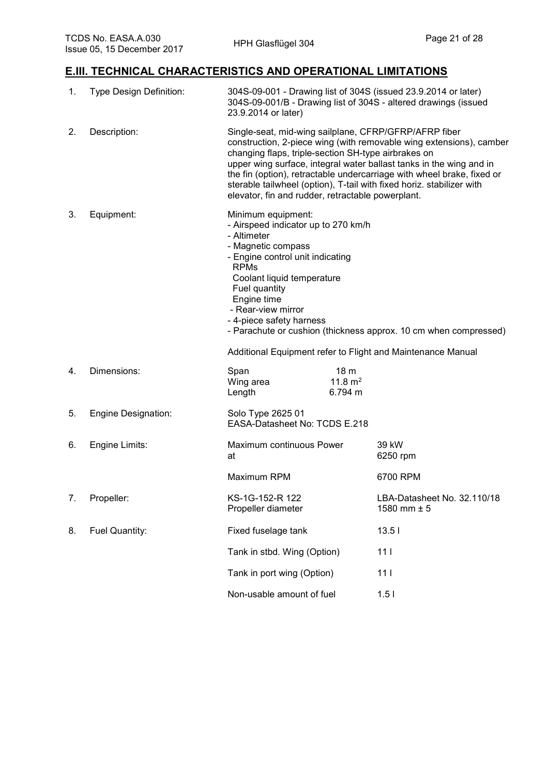## **E.III. TECHNICAL CHARACTERISTICS AND OPERATIONAL LIMITATIONS**

| 1. | Type Design Definition: | 304S-09-001 - Drawing list of 304S (issued 23.9.2014 or later)<br>304S-09-001/B - Drawing list of 304S - altered drawings (issued<br>23.9.2014 or later)                                                                                                                                                                                                                                                                                                           |                                         |                                                             |
|----|-------------------------|--------------------------------------------------------------------------------------------------------------------------------------------------------------------------------------------------------------------------------------------------------------------------------------------------------------------------------------------------------------------------------------------------------------------------------------------------------------------|-----------------------------------------|-------------------------------------------------------------|
| 2. | Description:            | Single-seat, mid-wing sailplane, CFRP/GFRP/AFRP fiber<br>construction, 2-piece wing (with removable wing extensions), camber<br>changing flaps, triple-section SH-type airbrakes on<br>upper wing surface, integral water ballast tanks in the wing and in<br>the fin (option), retractable undercarriage with wheel brake, fixed or<br>sterable tailwheel (option), T-tail with fixed horiz. stabilizer with<br>elevator, fin and rudder, retractable powerplant. |                                         |                                                             |
| 3. | Equipment:              | Minimum equipment:<br>- Airspeed indicator up to 270 km/h<br>- Altimeter<br>- Magnetic compass<br>- Engine control unit indicating<br><b>RPMs</b><br>Coolant liquid temperature<br>Fuel quantity<br>Engine time<br>- Rear-view mirror<br>- 4-piece safety harness<br>- Parachute or cushion (thickness approx. 10 cm when compressed)                                                                                                                              |                                         |                                                             |
|    |                         |                                                                                                                                                                                                                                                                                                                                                                                                                                                                    |                                         | Additional Equipment refer to Flight and Maintenance Manual |
| 4. | Dimensions:             | Span<br>Wing area<br>Length                                                                                                                                                                                                                                                                                                                                                                                                                                        | 18 <sub>m</sub><br>11.8 $m2$<br>6.794 m |                                                             |
| 5. | Engine Designation:     | Solo Type 2625 01<br>EASA-Datasheet No: TCDS E.218                                                                                                                                                                                                                                                                                                                                                                                                                 |                                         |                                                             |
| 6. | Engine Limits:          | Maximum continuous Power<br>at                                                                                                                                                                                                                                                                                                                                                                                                                                     |                                         | 39 kW<br>6250 rpm                                           |
|    |                         | Maximum RPM                                                                                                                                                                                                                                                                                                                                                                                                                                                        |                                         | 6700 RPM                                                    |
| 7. | Propeller:              | KS-1G-152-R 122<br>Propeller diameter                                                                                                                                                                                                                                                                                                                                                                                                                              |                                         | LBA-Datasheet No. 32.110/18<br>1580 mm $± 5$                |
| 8. | Fuel Quantity:          | Fixed fuselage tank                                                                                                                                                                                                                                                                                                                                                                                                                                                |                                         | 13.51                                                       |
|    |                         | Tank in stbd. Wing (Option)                                                                                                                                                                                                                                                                                                                                                                                                                                        |                                         | 111                                                         |
|    |                         | Tank in port wing (Option)                                                                                                                                                                                                                                                                                                                                                                                                                                         |                                         | 111                                                         |
|    |                         | Non-usable amount of fuel                                                                                                                                                                                                                                                                                                                                                                                                                                          |                                         | 1.51                                                        |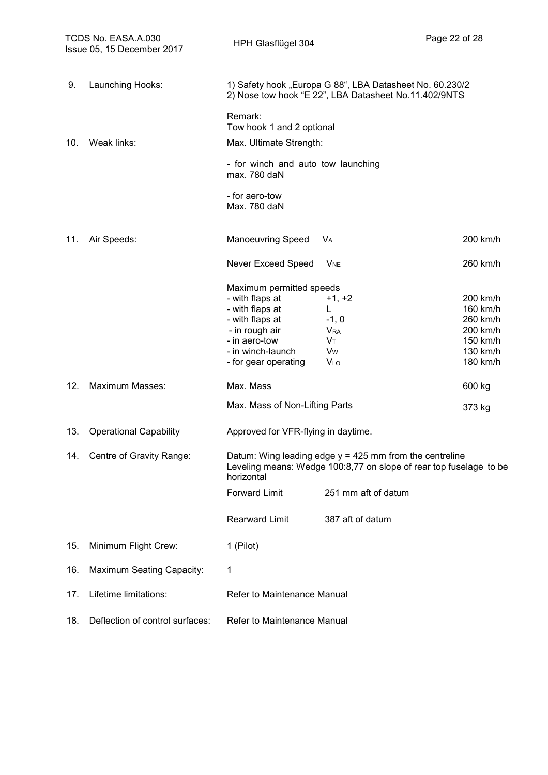|     | TCDS No. EASA.A.030<br>Issue 05, 15 December 2017 | HPH Glasflügel 304                                                                                                                                                |                                                                                                                                 | Page 22 of 28                                                                    |
|-----|---------------------------------------------------|-------------------------------------------------------------------------------------------------------------------------------------------------------------------|---------------------------------------------------------------------------------------------------------------------------------|----------------------------------------------------------------------------------|
| 9.  | Launching Hooks:                                  |                                                                                                                                                                   | 1) Safety hook "Europa G 88", LBA Datasheet No. 60.230/2<br>2) Nose tow hook "E 22", LBA Datasheet No.11.402/9NTS               |                                                                                  |
|     |                                                   | Remark:<br>Tow hook 1 and 2 optional                                                                                                                              |                                                                                                                                 |                                                                                  |
| 10. | Weak links:                                       | Max. Ultimate Strength:                                                                                                                                           |                                                                                                                                 |                                                                                  |
|     |                                                   | - for winch and auto tow launching<br>max. 780 daN                                                                                                                |                                                                                                                                 |                                                                                  |
|     |                                                   | - for aero-tow<br>Max. 780 daN                                                                                                                                    |                                                                                                                                 |                                                                                  |
| 11. | Air Speeds:                                       | <b>Manoeuvring Speed</b>                                                                                                                                          | V <sub>A</sub>                                                                                                                  | 200 km/h                                                                         |
|     |                                                   | Never Exceed Speed                                                                                                                                                | <b>V<sub>NE</sub></b>                                                                                                           | 260 km/h                                                                         |
|     |                                                   | Maximum permitted speeds<br>- with flaps at<br>- with flaps at<br>- with flaps at<br>- in rough air<br>- in aero-tow<br>- in winch-launch<br>- for gear operating | $+1, +2$<br>L<br>$-1, 0$<br><b>V<sub>RA</sub></b><br>$V_T$<br>V <sub>w</sub><br>VLO                                             | 200 km/h<br>160 km/h<br>260 km/h<br>200 km/h<br>150 km/h<br>130 km/h<br>180 km/h |
| 12. | Maximum Masses:                                   | Max. Mass                                                                                                                                                         |                                                                                                                                 | 600 kg                                                                           |
|     |                                                   | Max. Mass of Non-Lifting Parts                                                                                                                                    |                                                                                                                                 | 373 kg                                                                           |
| 13. | <b>Operational Capability</b>                     | Approved for VFR-flying in daytime.                                                                                                                               |                                                                                                                                 |                                                                                  |
| 14. | Centre of Gravity Range:                          | horizontal                                                                                                                                                        | Datum: Wing leading edge $y = 425$ mm from the centreline<br>Leveling means: Wedge 100:8,77 on slope of rear top fuselage to be |                                                                                  |
|     |                                                   | <b>Forward Limit</b>                                                                                                                                              | 251 mm aft of datum                                                                                                             |                                                                                  |
|     |                                                   | <b>Rearward Limit</b>                                                                                                                                             | 387 aft of datum                                                                                                                |                                                                                  |
| 15. | Minimum Flight Crew:                              | 1 (Pilot)                                                                                                                                                         |                                                                                                                                 |                                                                                  |
| 16. | <b>Maximum Seating Capacity:</b>                  | 1                                                                                                                                                                 |                                                                                                                                 |                                                                                  |
| 17. | Lifetime limitations:                             | Refer to Maintenance Manual                                                                                                                                       |                                                                                                                                 |                                                                                  |
| 18. | Deflection of control surfaces:                   | Refer to Maintenance Manual                                                                                                                                       |                                                                                                                                 |                                                                                  |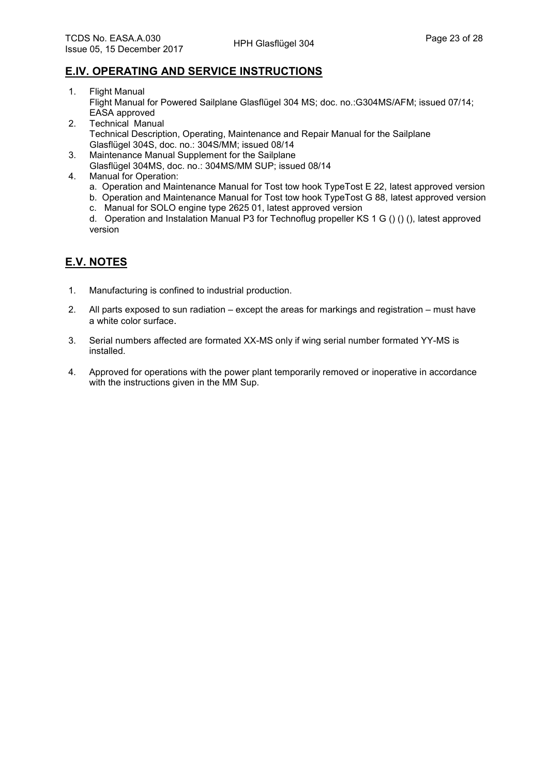#### **E.IV. OPERATING AND SERVICE INSTRUCTIONS**

- 1. Flight Manual Flight Manual for Powered Sailplane Glasflügel 304 MS; doc. no.:G304MS/AFM; issued 07/14; EASA approved
- 2. Technical Manual Technical Description, Operating, Maintenance and Repair Manual for the Sailplane Glasflügel 304S, doc. no.: 304S/MM; issued 08/14
- 3. Maintenance Manual Supplement for the Sailplane Glasflügel 304MS, doc. no.: 304MS/MM SUP; issued 08/14
- 4. Manual for Operation:
	- a. Operation and Maintenance Manual for Tost tow hook TypeTost E 22, latest approved version
	- b. Operation and Maintenance Manual for Tost tow hook TypeTost G 88, latest approved version
	- c. Manual for SOLO engine type 2625 01, latest approved version

d. Operation and Instalation Manual P3 for Technoflug propeller KS 1 G () () (), latest approved version

## **E.V. NOTES**

- 1. Manufacturing is confined to industrial production.
- 2. All parts exposed to sun radiation except the areas for markings and registration must have a white color surface.
- 3. Serial numbers affected are formated XX-MS only if wing serial number formated YY-MS is installed.
- 4. Approved for operations with the power plant temporarily removed or inoperative in accordance with the instructions given in the MM Sup.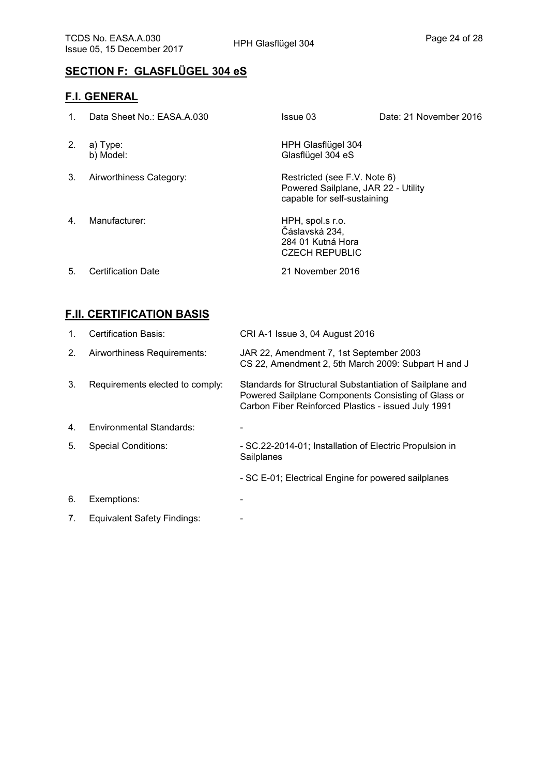# **SECTION F: GLASFLÜGEL 304 eS**

#### **F.I. GENERAL**

| $1_{-}$      | Data Sheet No.: EASA.A.030 | Issue 03                                                                                           | Date: 21 November 2016 |
|--------------|----------------------------|----------------------------------------------------------------------------------------------------|------------------------|
| 2.           | a) Type:<br>b) Model:      | HPH Glasflügel 304<br>Glasflügel 304 eS                                                            |                        |
| 3.           | Airworthiness Category:    | Restricted (see F.V. Note 6)<br>Powered Sailplane, JAR 22 - Utility<br>capable for self-sustaining |                        |
| $\mathbf{4}$ | Manufacturer:              | HPH, spol.s r.o.<br>Čáslavská 234,<br>284 01 Kutná Hora<br><b>CZECH REPUBLIC</b>                   |                        |
| 5.           | <b>Certification Date</b>  | 21 November 2016                                                                                   |                        |

#### **F.II. CERTIFICATION BASIS**

| 1. | Certification Basis:               | CRI A-1 Issue 3, 04 August 2016                                                                                                                                        |
|----|------------------------------------|------------------------------------------------------------------------------------------------------------------------------------------------------------------------|
| 2. | Airworthiness Requirements:        | JAR 22, Amendment 7, 1st September 2003<br>CS 22, Amendment 2, 5th March 2009: Subpart H and J                                                                         |
| 3. | Requirements elected to comply:    | Standards for Structural Substantiation of Sailplane and<br>Powered Sailplane Components Consisting of Glass or<br>Carbon Fiber Reinforced Plastics - issued July 1991 |
| 4. | Environmental Standards:           |                                                                                                                                                                        |
| 5. | <b>Special Conditions:</b>         | - SC.22-2014-01; Installation of Electric Propulsion in<br>Sailplanes                                                                                                  |
|    |                                    | - SC E-01; Electrical Engine for powered sailplanes                                                                                                                    |
| 6. | Exemptions:                        |                                                                                                                                                                        |
| 7. | <b>Equivalent Safety Findings:</b> |                                                                                                                                                                        |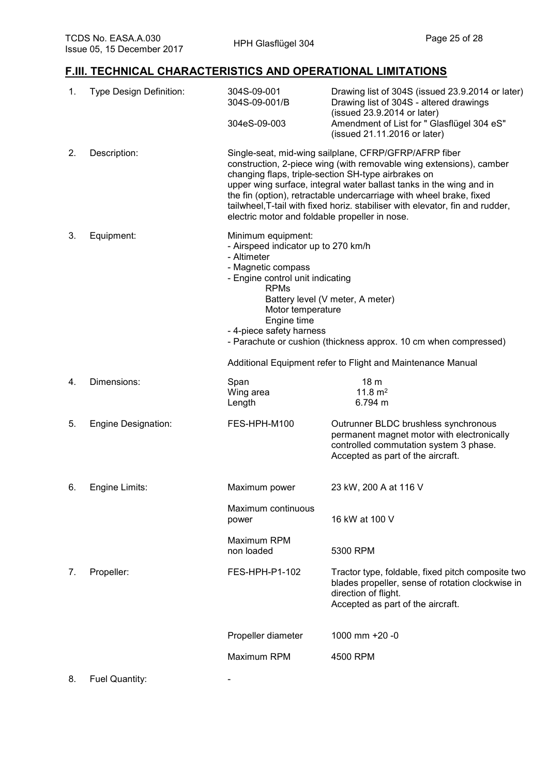# **F.III. TECHNICAL CHARACTERISTICS AND OPERATIONAL LIMITATIONS**

| 1. | Type Design Definition:    | 304S-09-001<br>304S-09-001/B<br>304eS-09-003                                                                                                                                                                                                                                                                                                                                                                                                                         | Drawing list of 304S (issued 23.9.2014 or later)<br>Drawing list of 304S - altered drawings<br>(issued 23.9.2014 or later)<br>Amendment of List for " Glasflügel 304 eS"<br>(issued 21.11.2016 or later) |  |
|----|----------------------------|----------------------------------------------------------------------------------------------------------------------------------------------------------------------------------------------------------------------------------------------------------------------------------------------------------------------------------------------------------------------------------------------------------------------------------------------------------------------|----------------------------------------------------------------------------------------------------------------------------------------------------------------------------------------------------------|--|
| 2. | Description:               | Single-seat, mid-wing sailplane, CFRP/GFRP/AFRP fiber<br>construction, 2-piece wing (with removable wing extensions), camber<br>changing flaps, triple-section SH-type airbrakes on<br>upper wing surface, integral water ballast tanks in the wing and in<br>the fin (option), retractable undercarriage with wheel brake, fixed<br>tailwheel, T-tail with fixed horiz. stabiliser with elevator, fin and rudder,<br>electric motor and foldable propeller in nose. |                                                                                                                                                                                                          |  |
| 3. | Equipment:                 | Minimum equipment:<br>- Airspeed indicator up to 270 km/h<br>- Altimeter<br>- Magnetic compass<br>- Engine control unit indicating<br><b>RPMs</b><br>Battery level (V meter, A meter)<br>Motor temperature<br>Engine time<br>- 4-piece safety harness<br>- Parachute or cushion (thickness approx. 10 cm when compressed)                                                                                                                                            |                                                                                                                                                                                                          |  |
|    |                            | Additional Equipment refer to Flight and Maintenance Manual                                                                                                                                                                                                                                                                                                                                                                                                          |                                                                                                                                                                                                          |  |
| 4. | Dimensions:                | Span<br>Wing area<br>Length                                                                                                                                                                                                                                                                                                                                                                                                                                          | 18 <sub>m</sub><br>11.8 $m2$<br>6.794 m                                                                                                                                                                  |  |
| 5. | <b>Engine Designation:</b> | FES-HPH-M100                                                                                                                                                                                                                                                                                                                                                                                                                                                         | Outrunner BLDC brushless synchronous<br>permanent magnet motor with electronically<br>controlled commutation system 3 phase.<br>Accepted as part of the aircraft.                                        |  |
| 6. | Engine Limits:             | Maximum power                                                                                                                                                                                                                                                                                                                                                                                                                                                        | 23 kW, 200 A at 116 V                                                                                                                                                                                    |  |
|    |                            | Maximum continuous<br>power                                                                                                                                                                                                                                                                                                                                                                                                                                          | 16 kW at 100 V                                                                                                                                                                                           |  |
|    |                            | Maximum RPM<br>non loaded                                                                                                                                                                                                                                                                                                                                                                                                                                            | 5300 RPM                                                                                                                                                                                                 |  |
| 7. | Propeller:                 | FES-HPH-P1-102                                                                                                                                                                                                                                                                                                                                                                                                                                                       | Tractor type, foldable, fixed pitch composite two<br>blades propeller, sense of rotation clockwise in<br>direction of flight.<br>Accepted as part of the aircraft.                                       |  |
|    |                            | Propeller diameter                                                                                                                                                                                                                                                                                                                                                                                                                                                   | 1000 mm +20 -0                                                                                                                                                                                           |  |
|    |                            | Maximum RPM                                                                                                                                                                                                                                                                                                                                                                                                                                                          | 4500 RPM                                                                                                                                                                                                 |  |
| 8. | Fuel Quantity:             |                                                                                                                                                                                                                                                                                                                                                                                                                                                                      |                                                                                                                                                                                                          |  |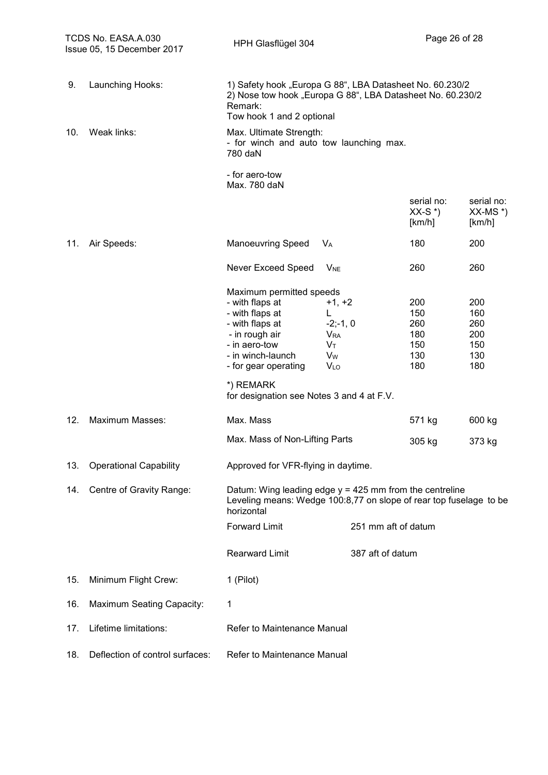| TCDS No. EASA.A.030<br>Issue 05, 15 December 2017 |                                  | HPH Glasflügel 304                                                                                                                                                                                                          |                                                                                        |                                               | Page 26 of 28                                 |  |
|---------------------------------------------------|----------------------------------|-----------------------------------------------------------------------------------------------------------------------------------------------------------------------------------------------------------------------------|----------------------------------------------------------------------------------------|-----------------------------------------------|-----------------------------------------------|--|
| 9.                                                | Launching Hooks:                 | 1) Safety hook "Europa G 88", LBA Datasheet No. 60.230/2<br>2) Nose tow hook "Europa G 88", LBA Datasheet No. 60.230/2<br>Remark:<br>Tow hook 1 and 2 optional                                                              |                                                                                        |                                               |                                               |  |
| 10.                                               | Weak links:                      | Max. Ultimate Strength:<br>- for winch and auto tow launching max.<br>780 daN                                                                                                                                               |                                                                                        |                                               |                                               |  |
|                                                   |                                  | - for aero-tow<br>Max. 780 daN                                                                                                                                                                                              |                                                                                        |                                               |                                               |  |
|                                                   |                                  |                                                                                                                                                                                                                             |                                                                                        | serial no:<br>$XX-S^*$<br>[km/h]              | serial no:<br>$XX-MS^*$<br>[km/h]             |  |
| 11.                                               | Air Speeds:                      | <b>Manoeuvring Speed</b>                                                                                                                                                                                                    | <b>V<sub>A</sub></b>                                                                   | 180                                           | 200                                           |  |
|                                                   |                                  | Never Exceed Speed                                                                                                                                                                                                          | <b>V<sub>NE</sub></b>                                                                  | 260                                           | 260                                           |  |
|                                                   |                                  | Maximum permitted speeds<br>- with flaps at<br>- with flaps at<br>- with flaps at<br>- in rough air<br>- in aero-tow<br>- in winch-launch<br>- for gear operating<br>*) REMARK<br>for designation see Notes 3 and 4 at F.V. | $+1, +2$<br>L.<br>$-2; -1, 0$<br><b>V</b> <sub>RA</sub><br>Vт<br>Vw<br>V <sub>LO</sub> | 200<br>150<br>260<br>180<br>150<br>130<br>180 | 200<br>160<br>260<br>200<br>150<br>130<br>180 |  |
| 12.                                               | Maximum Masses:                  | Max. Mass                                                                                                                                                                                                                   |                                                                                        | 571 kg                                        | 600 kg                                        |  |
|                                                   |                                  | Max. Mass of Non-Lifting Parts                                                                                                                                                                                              |                                                                                        | 305 kg                                        | 373 kg                                        |  |
| 13.                                               | <b>Operational Capability</b>    | Approved for VFR-flying in daytime.                                                                                                                                                                                         |                                                                                        |                                               |                                               |  |
| 14.                                               | Centre of Gravity Range:         | Datum: Wing leading edge $y = 425$ mm from the centreline<br>Leveling means: Wedge 100:8,77 on slope of rear top fuselage to be<br>horizontal                                                                               |                                                                                        |                                               |                                               |  |
|                                                   |                                  | <b>Forward Limit</b>                                                                                                                                                                                                        |                                                                                        | 251 mm aft of datum                           |                                               |  |
|                                                   |                                  | <b>Rearward Limit</b>                                                                                                                                                                                                       | 387 aft of datum                                                                       |                                               |                                               |  |
| 15.                                               | Minimum Flight Crew:             | 1 (Pilot)                                                                                                                                                                                                                   |                                                                                        |                                               |                                               |  |
| 16.                                               | <b>Maximum Seating Capacity:</b> | 1                                                                                                                                                                                                                           |                                                                                        |                                               |                                               |  |
| 17.                                               | Lifetime limitations:            | Refer to Maintenance Manual                                                                                                                                                                                                 |                                                                                        |                                               |                                               |  |
| 18.                                               | Deflection of control surfaces:  | Refer to Maintenance Manual                                                                                                                                                                                                 |                                                                                        |                                               |                                               |  |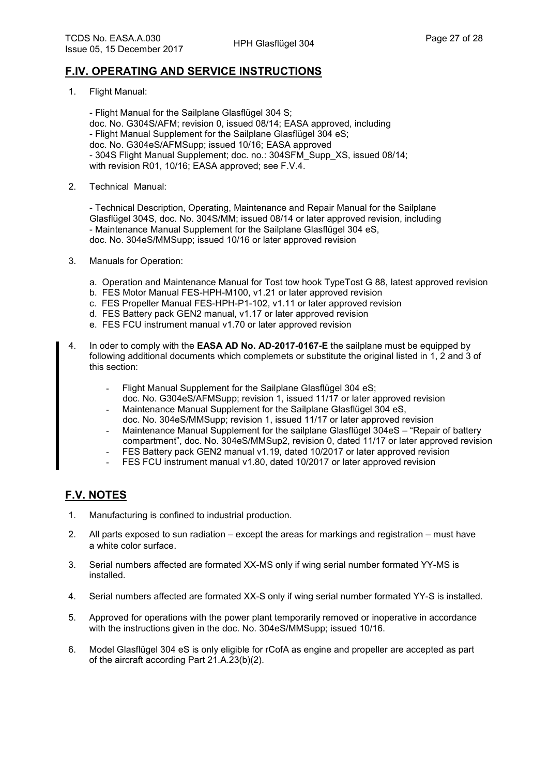#### **F.IV. OPERATING AND SERVICE INSTRUCTIONS**

1. Flight Manual:

- Flight Manual for the Sailplane Glasflügel 304 S; doc. No. G304S/AFM; revision 0, issued 08/14; EASA approved, including - Flight Manual Supplement for the Sailplane Glasflügel 304 eS; doc. No. G304eS/AFMSupp; issued 10/16; EASA approved - 304S Flight Manual Supplement; doc. no.: 304SFM\_Supp\_XS, issued 08/14; with revision R01, 10/16; EASA approved; see F.V.4.

2. Technical Manual:

- Technical Description, Operating, Maintenance and Repair Manual for the Sailplane Glasflügel 304S, doc. No. 304S/MM; issued 08/14 or later approved revision, including - Maintenance Manual Supplement for the Sailplane Glasflügel 304 eS, doc. No. 304eS/MMSupp; issued 10/16 or later approved revision

- 3. Manuals for Operation:
	- a. Operation and Maintenance Manual for Tost tow hook TypeTost G 88, latest approved revision
	- b. FES Motor Manual FES-HPH-M100, v1.21 or later approved revision
	- c. FES Propeller Manual FES-HPH-P1-102, v1.11 or later approved revision
	- d. FES Battery pack GEN2 manual, v1.17 or later approved revision
	- e. FES FCU instrument manual v1.70 or later approved revision
- 4. In oder to comply with the **EASA AD No. AD-2017-0167-E** the sailplane must be equipped by following additional documents which complemets or substitute the original listed in 1, 2 and 3 of this section:
	- Flight Manual Supplement for the Sailplane Glasflügel 304 eS;
	- doc. No. G304eS/AFMSupp; revision 1, issued 11/17 or later approved revision Maintenance Manual Supplement for the Sailplane Glasflügel 304 eS,
	- doc. No. 304eS/MMSupp; revision 1, issued 11/17 or later approved revision
	- Maintenance Manual Supplement for the sailplane Glasflügel 304eS "Repair of battery compartment", doc. No. 304eS/MMSup2, revision 0, dated 11/17 or later approved revision
	- FES Battery pack GEN2 manual v1.19, dated 10/2017 or later approved revision
	- FES FCU instrument manual v1.80, dated 10/2017 or later approved revision

### **F.V. NOTES**

- 1. Manufacturing is confined to industrial production.
- 2. All parts exposed to sun radiation except the areas for markings and registration must have a white color surface.
- 3. Serial numbers affected are formated XX-MS only if wing serial number formated YY-MS is installed.
- 4. Serial numbers affected are formated XX-S only if wing serial number formated YY-S is installed.
- 5. Approved for operations with the power plant temporarily removed or inoperative in accordance with the instructions given in the doc. No. 304eS/MMSupp; issued 10/16.
- 6. Model Glasflügel 304 eS is only eligible for rCofA as engine and propeller are accepted as part of the aircraft according Part 21.A.23(b)(2).